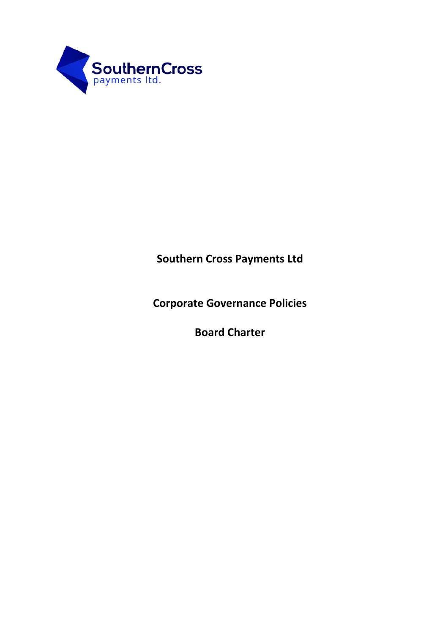

# **Southern Cross Payments Ltd**

**Corporate Governance Policies**

**Board Charter**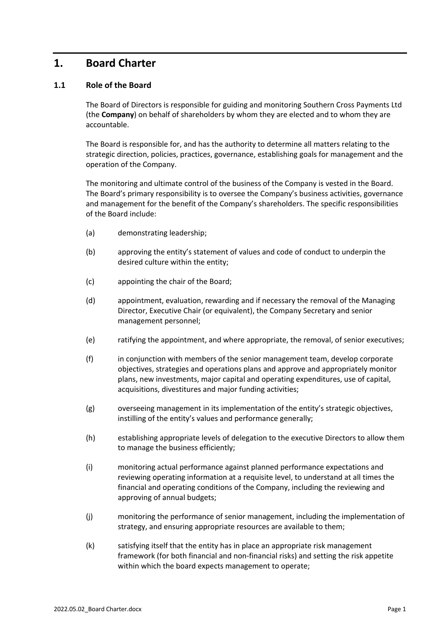# **1. Board Charter**

# **1.1 Role of the Board**

The Board of Directors is responsible for guiding and monitoring Southern Cross Payments Ltd (the **Company**) on behalf of shareholders by whom they are elected and to whom they are accountable.

The Board is responsible for, and has the authority to determine all matters relating to the strategic direction, policies, practices, governance, establishing goals for management and the operation of the Company.

The monitoring and ultimate control of the business of the Company is vested in the Board. The Board's primary responsibility is to oversee the Company's business activities, governance and management for the benefit of the Company's shareholders. The specific responsibilities of the Board include:

- (a) demonstrating leadership;
- (b) approving the entity's statement of values and code of conduct to underpin the desired culture within the entity;
- (c) appointing the chair of the Board;
- (d) appointment, evaluation, rewarding and if necessary the removal of the Managing Director, Executive Chair (or equivalent), the Company Secretary and senior management personnel;
- (e) ratifying the appointment, and where appropriate, the removal, of senior executives;
- (f) in conjunction with members of the senior management team, develop corporate objectives, strategies and operations plans and approve and appropriately monitor plans, new investments, major capital and operating expenditures, use of capital, acquisitions, divestitures and major funding activities;
- (g) overseeing management in its implementation of the entity's strategic objectives, instilling of the entity's values and performance generally;
- (h) establishing appropriate levels of delegation to the executive Directors to allow them to manage the business efficiently;
- (i) monitoring actual performance against planned performance expectations and reviewing operating information at a requisite level, to understand at all times the financial and operating conditions of the Company, including the reviewing and approving of annual budgets;
- (j) monitoring the performance of senior management, including the implementation of strategy, and ensuring appropriate resources are available to them;
- (k) satisfying itself that the entity has in place an appropriate risk management framework (for both financial and non-financial risks) and setting the risk appetite within which the board expects management to operate;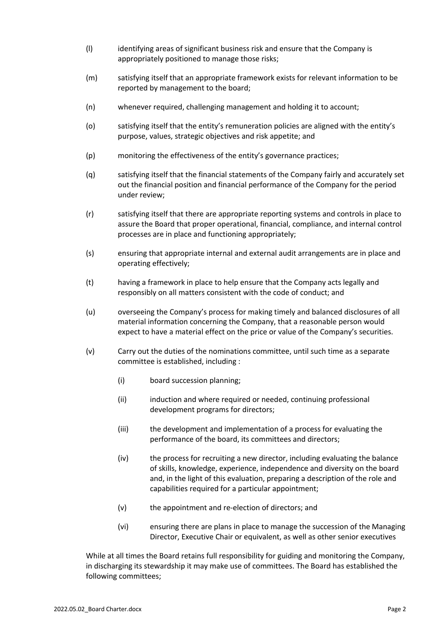- (l) identifying areas of significant business risk and ensure that the Company is appropriately positioned to manage those risks;
- (m) satisfying itself that an appropriate framework exists for relevant information to be reported by management to the board;
- (n) whenever required, challenging management and holding it to account;
- (o) satisfying itself that the entity's remuneration policies are aligned with the entity's purpose, values, strategic objectives and risk appetite; and
- (p) monitoring the effectiveness of the entity's governance practices;
- (q) satisfying itself that the financial statements of the Company fairly and accurately set out the financial position and financial performance of the Company for the period under review;
- (r) satisfying itself that there are appropriate reporting systems and controls in place to assure the Board that proper operational, financial, compliance, and internal control processes are in place and functioning appropriately;
- (s) ensuring that appropriate internal and external audit arrangements are in place and operating effectively;
- (t) having a framework in place to help ensure that the Company acts legally and responsibly on all matters consistent with the code of conduct; and
- (u) overseeing the Company's process for making timely and balanced disclosures of all material information concerning the Company, that a reasonable person would expect to have a material effect on the price or value of the Company's securities.
- (v) Carry out the duties of the nominations committee, until such time as a separate committee is established, including :
	- (i) board succession planning;
	- (ii) induction and where required or needed, continuing professional development programs for directors;
	- (iii) the development and implementation of a process for evaluating the performance of the board, its committees and directors;
	- (iv) the process for recruiting a new director, including evaluating the balance of skills, knowledge, experience, independence and diversity on the board and, in the light of this evaluation, preparing a description of the role and capabilities required for a particular appointment;
	- (v) the appointment and re-election of directors; and
	- (vi) ensuring there are plans in place to manage the succession of the Managing Director, Executive Chair or equivalent, as well as other senior executives

While at all times the Board retains full responsibility for guiding and monitoring the Company, in discharging its stewardship it may make use of committees. The Board has established the following committees;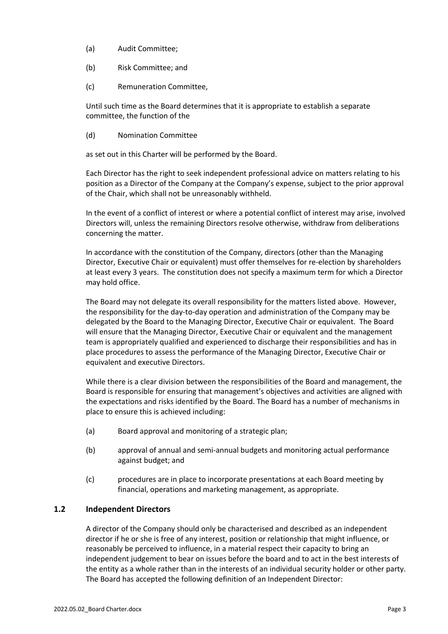- (a) Audit Committee;
- (b) Risk Committee; and
- (c) Remuneration Committee,

Until such time as the Board determines that it is appropriate to establish a separate committee, the function of the

(d) Nomination Committee

as set out in this Charter will be performed by the Board.

Each Director has the right to seek independent professional advice on matters relating to his position as a Director of the Company at the Company's expense, subject to the prior approval of the Chair, which shall not be unreasonably withheld.

In the event of a conflict of interest or where a potential conflict of interest may arise, involved Directors will, unless the remaining Directors resolve otherwise, withdraw from deliberations concerning the matter.

In accordance with the constitution of the Company, directors (other than the Managing Director, Executive Chair or equivalent) must offer themselves for re-election by shareholders at least every 3 years. The constitution does not specify a maximum term for which a Director may hold office.

The Board may not delegate its overall responsibility for the matters listed above. However, the responsibility for the day-to-day operation and administration of the Company may be delegated by the Board to the Managing Director, Executive Chair or equivalent. The Board will ensure that the Managing Director, Executive Chair or equivalent and the management team is appropriately qualified and experienced to discharge their responsibilities and has in place procedures to assess the performance of the Managing Director, Executive Chair or equivalent and executive Directors.

While there is a clear division between the responsibilities of the Board and management, the Board is responsible for ensuring that management's objectives and activities are aligned with the expectations and risks identified by the Board. The Board has a number of mechanisms in place to ensure this is achieved including:

- (a) Board approval and monitoring of a strategic plan;
- (b) approval of annual and semi-annual budgets and monitoring actual performance against budget; and
- (c) procedures are in place to incorporate presentations at each Board meeting by financial, operations and marketing management, as appropriate.

## **1.2 Independent Directors**

A director of the Company should only be characterised and described as an independent director if he or she is free of any interest, position or relationship that might influence, or reasonably be perceived to influence, in a material respect their capacity to bring an independent judgement to bear on issues before the board and to act in the best interests of the entity as a whole rather than in the interests of an individual security holder or other party. The Board has accepted the following definition of an Independent Director: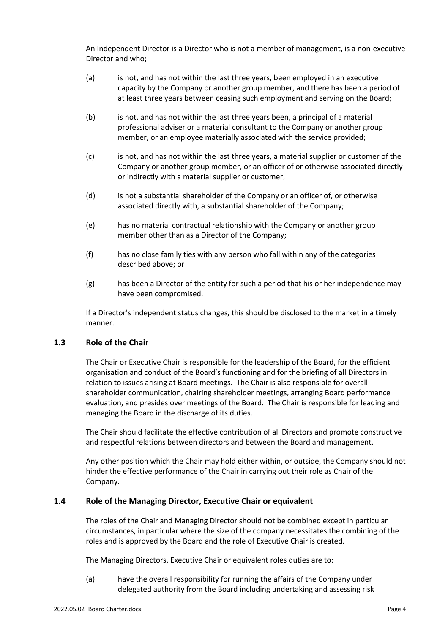An Independent Director is a Director who is not a member of management, is a non-executive Director and who;

- (a) is not, and has not within the last three years, been employed in an executive capacity by the Company or another group member, and there has been a period of at least three years between ceasing such employment and serving on the Board;
- (b) is not, and has not within the last three years been, a principal of a material professional adviser or a material consultant to the Company or another group member, or an employee materially associated with the service provided;
- (c) is not, and has not within the last three years, a material supplier or customer of the Company or another group member, or an officer of or otherwise associated directly or indirectly with a material supplier or customer;
- (d) is not a substantial shareholder of the Company or an officer of, or otherwise associated directly with, a substantial shareholder of the Company;
- (e) has no material contractual relationship with the Company or another group member other than as a Director of the Company;
- (f) has no close family ties with any person who fall within any of the categories described above; or
- (g) has been a Director of the entity for such a period that his or her independence may have been compromised.

If a Director's independent status changes, this should be disclosed to the market in a timely manner.

## **1.3 Role of the Chair**

The Chair or Executive Chair is responsible for the leadership of the Board, for the efficient organisation and conduct of the Board's functioning and for the briefing of all Directors in relation to issues arising at Board meetings. The Chair is also responsible for overall shareholder communication, chairing shareholder meetings, arranging Board performance evaluation, and presides over meetings of the Board. The Chair is responsible for leading and managing the Board in the discharge of its duties.

The Chair should facilitate the effective contribution of all Directors and promote constructive and respectful relations between directors and between the Board and management.

Any other position which the Chair may hold either within, or outside, the Company should not hinder the effective performance of the Chair in carrying out their role as Chair of the Company.

#### **1.4 Role of the Managing Director, Executive Chair or equivalent**

The roles of the Chair and Managing Director should not be combined except in particular circumstances, in particular where the size of the company necessitates the combining of the roles and is approved by the Board and the role of Executive Chair is created.

The Managing Directors, Executive Chair or equivalent roles duties are to:

(a) have the overall responsibility for running the affairs of the Company under delegated authority from the Board including undertaking and assessing risk